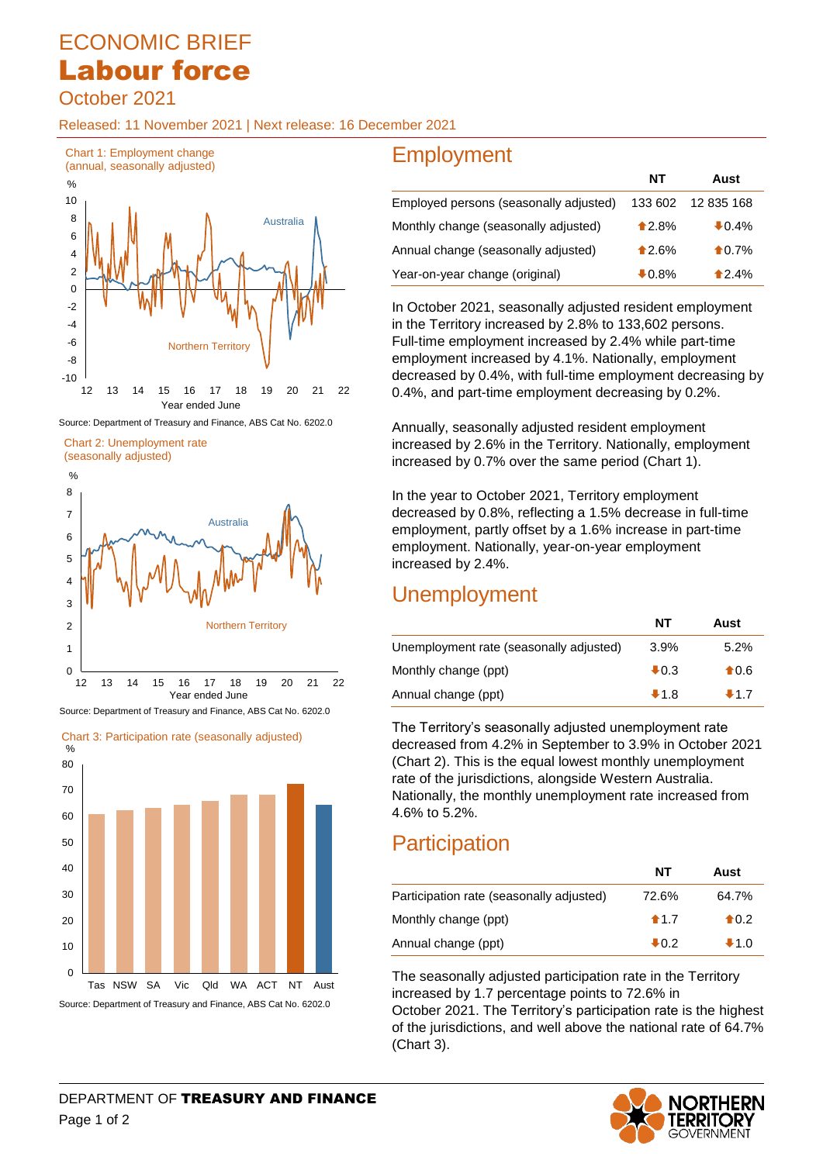# ECONOMIC BRIEF Labour force

October 2021

Released: 11 November 2021 | Next release: 16 December 2021



Source: Department of Treasury and Finance, ABS Cat No. 6202.0

Chart 2: Unemployment rate



Source: Department of Treasury and Finance, ABS Cat No. 6202.0

Chart 3: Participation rate (seasonally adjusted)



## **Employment**

|                                        | NΤ       | Aust            |
|----------------------------------------|----------|-----------------|
| Employed persons (seasonally adjusted) | 133 602  | 12 835 168      |
| Monthly change (seasonally adjusted)   | $*2.8%$  | $+0.4%$         |
| Annual change (seasonally adjusted)    | $*2.6%$  | $\bigstar$ 0.7% |
| Year-on-year change (original)         | $+0.8\%$ | 12.4%           |

In October 2021, seasonally adjusted resident employment in the Territory increased by 2.8% to 133,602 persons. Full-time employment increased by 2.4% while part-time employment increased by 4.1%. Nationally, employment decreased by 0.4%, with full-time employment decreasing by 0.4%, and part-time employment decreasing by 0.2%.

Annually, seasonally adjusted resident employment increased by 2.6% in the Territory. Nationally, employment increased by 0.7% over the same period (Chart 1).

In the year to October 2021, Territory employment decreased by 0.8%, reflecting a 1.5% decrease in full-time employment, partly offset by a 1.6% increase in part-time employment. Nationally, year-on-year employment increased by 2.4%.

### **Unemployment**

|                                         | NΤ              | Aust           |
|-----------------------------------------|-----------------|----------------|
| Unemployment rate (seasonally adjusted) | $3.9\%$         | 5.2%           |
| Monthly change (ppt)                    | $\clubsuit$ 0.3 | $\bigstar$ 0.6 |
| Annual change (ppt)                     | $+1.8$          | $+1.7$         |

The Territory's seasonally adjusted unemployment rate decreased from 4.2% in September to 3.9% in October 2021 (Chart 2). This is the equal lowest monthly unemployment rate of the jurisdictions, alongside Western Australia. Nationally, the monthly unemployment rate increased from 4.6% to 5.2%.

## **Participation**

|                                          | NT              | Aust           |
|------------------------------------------|-----------------|----------------|
| Participation rate (seasonally adjusted) | 72.6%           | 64.7%          |
| Monthly change (ppt)                     | $\bigstar$ 1.7  | $\bigstar$ 0.2 |
| Annual change (ppt)                      | $\clubsuit$ 0.2 | $+1.0$         |

The seasonally adjusted participation rate in the Territory increased by 1.7 percentage points to 72.6% in

October 2021. The Territory's participation rate is the highest of the jurisdictions, and well above the national rate of 64.7% (Chart 3).